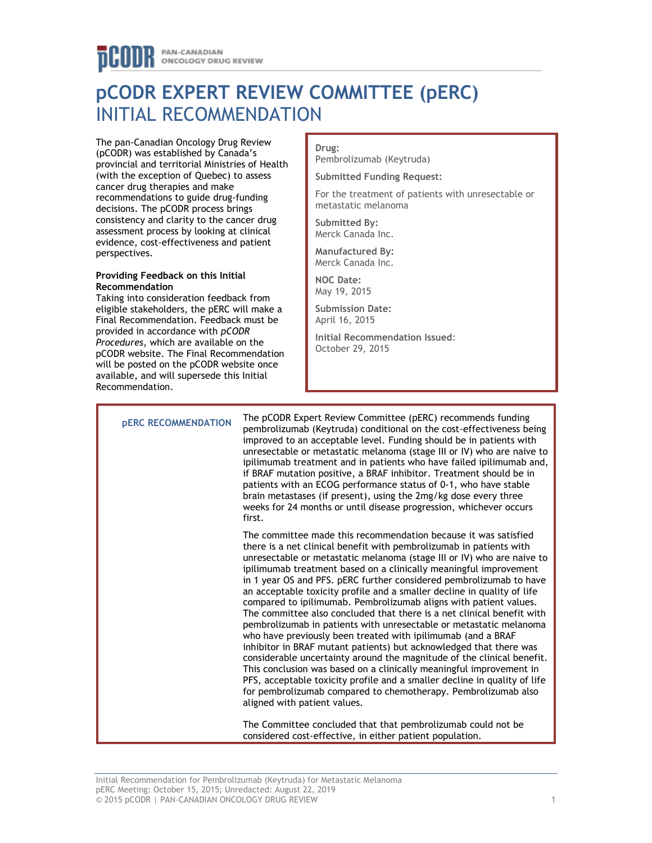# **pCODR EXPERT REVIEW COMMITTEE (pERC)** INITIAL RECOMMENDATION

The pan-Canadian Oncology Drug Review (pCODR) was established by Canada's provincial and territorial Ministries of Health (with the exception of Quebec) to assess cancer drug therapies and make recommendations to guide drug-funding decisions. The pCODR process brings consistency and clarity to the cancer drug assessment process by looking at clinical evidence, cost-effectiveness and patient perspectives.

## **Providing Feedback on this Initial Recommendation**

Taking into consideration feedback from eligible stakeholders, the pERC will make a Final Recommendation. Feedback must be provided in accordance with *pCODR Procedures*, which are available on the pCODR website. The Final Recommendation will be posted on the pCODR website once available, and will supersede this Initial Recommendation.

## **Drug:**

Pembrolizumab (Keytruda)

**Submitted Funding Request:**

For the treatment of patients with unresectable or metastatic melanoma

**Submitted By:** Merck Canada Inc.

**Manufactured By:** Merck Canada Inc.

**NOC Date:** May 19, 2015

**Submission Date:** April 16, 2015

**Initial Recommendation Issued**: October 29, 2015

**pERC RECOMMENDATION** The pCODR Expert Review Committee (pERC) recommends funding pembrolizumab (Keytruda) conditional on the cost-effectiveness being improved to an acceptable level. Funding should be in patients with unresectable or metastatic melanoma (stage III or IV) who are naive to ipilimumab treatment and in patients who have failed ipilimumab and, if BRAF mutation positive, a BRAF inhibitor. Treatment should be in patients with an ECOG performance status of 0-1, who have stable brain metastases (if present), using the 2mg/kg dose every three weeks for 24 months or until disease progression, whichever occurs first. The committee made this recommendation because it was satisfied there is a net clinical benefit with pembrolizumab in patients with unresectable or metastatic melanoma (stage III or IV) who are naive to ipilimumab treatment based on a clinically meaningful improvement in 1 year OS and PFS. pERC further considered pembrolizumab to have an acceptable toxicity profile and a smaller decline in quality of life compared to ipilimumab. Pembrolizumab aligns with patient values. The committee also concluded that there is a net clinical benefit with pembrolizumab in patients with unresectable or metastatic melanoma who have previously been treated with ipilimumab (and a BRAF inhibitor in BRAF mutant patients) but acknowledged that there was considerable uncertainty around the magnitude of the clinical benefit. This conclusion was based on a clinically meaningful improvement in PFS, acceptable toxicity profile and a smaller decline in quality of life for pembrolizumab compared to chemotherapy. Pembrolizumab also aligned with patient values. The Committee concluded that that pembrolizumab could not be considered cost-effective, in either patient population.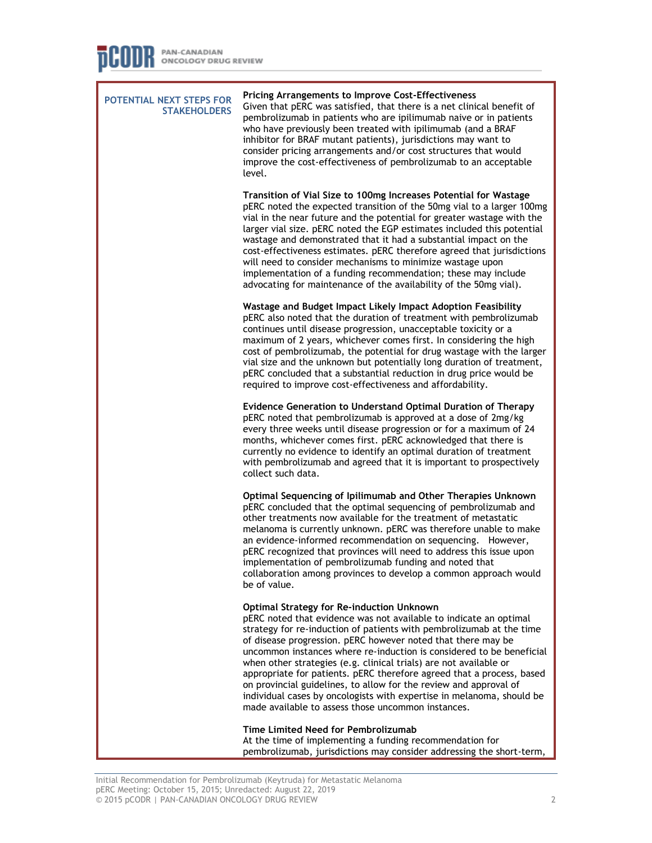**POTENTIAL NEXT STEPS FOR STAKEHOLDERS Pricing Arrangements to Improve Cost-Effectiveness** Given that pERC was satisfied, that there is a net clinical benefit of pembrolizumab in patients who are ipilimumab naive or in patients who have previously been treated with ipilimumab (and a BRAF inhibitor for BRAF mutant patients), jurisdictions may want to consider pricing arrangements and/or cost structures that would improve the cost-effectiveness of pembrolizumab to an acceptable level. **Transition of Vial Size to 100mg Increases Potential for Wastage** pERC noted the expected transition of the 50mg vial to a larger 100mg vial in the near future and the potential for greater wastage with the larger vial size. pERC noted the EGP estimates included this potential wastage and demonstrated that it had a substantial impact on the cost-effectiveness estimates. pERC therefore agreed that jurisdictions will need to consider mechanisms to minimize wastage upon implementation of a funding recommendation; these may include advocating for maintenance of the availability of the 50mg vial). **Wastage and Budget Impact Likely Impact Adoption Feasibility** pERC also noted that the duration of treatment with pembrolizumab continues until disease progression, unacceptable toxicity or a maximum of 2 years, whichever comes first. In considering the high cost of pembrolizumab, the potential for drug wastage with the larger vial size and the unknown but potentially long duration of treatment, pERC concluded that a substantial reduction in drug price would be required to improve cost-effectiveness and affordability. **Evidence Generation to Understand Optimal Duration of Therapy** pERC noted that pembrolizumab is approved at a dose of 2mg/kg every three weeks until disease progression or for a maximum of 24 months, whichever comes first. pERC acknowledged that there is currently no evidence to identify an optimal duration of treatment with pembrolizumab and agreed that it is important to prospectively collect such data. **Optimal Sequencing of Ipilimumab and Other Therapies Unknown**  pERC concluded that the optimal sequencing of pembrolizumab and other treatments now available for the treatment of metastatic melanoma is currently unknown. pERC was therefore unable to make an evidence-informed recommendation on sequencing. However, pERC recognized that provinces will need to address this issue upon implementation of pembrolizumab funding and noted that collaboration among provinces to develop a common approach would be of value. **Optimal Strategy for Re-induction Unknown** pERC noted that evidence was not available to indicate an optimal strategy for re-induction of patients with pembrolizumab at the time of disease progression. pERC however noted that there may be uncommon instances where re-induction is considered to be beneficial when other strategies (e.g. clinical trials) are not available or appropriate for patients. pERC therefore agreed that a process, based on provincial guidelines, to allow for the review and approval of individual cases by oncologists with expertise in melanoma, should be made available to assess those uncommon instances. **Time Limited Need for Pembrolizumab** At the time of implementing a funding recommendation for

pembrolizumab, jurisdictions may consider addressing the short-term,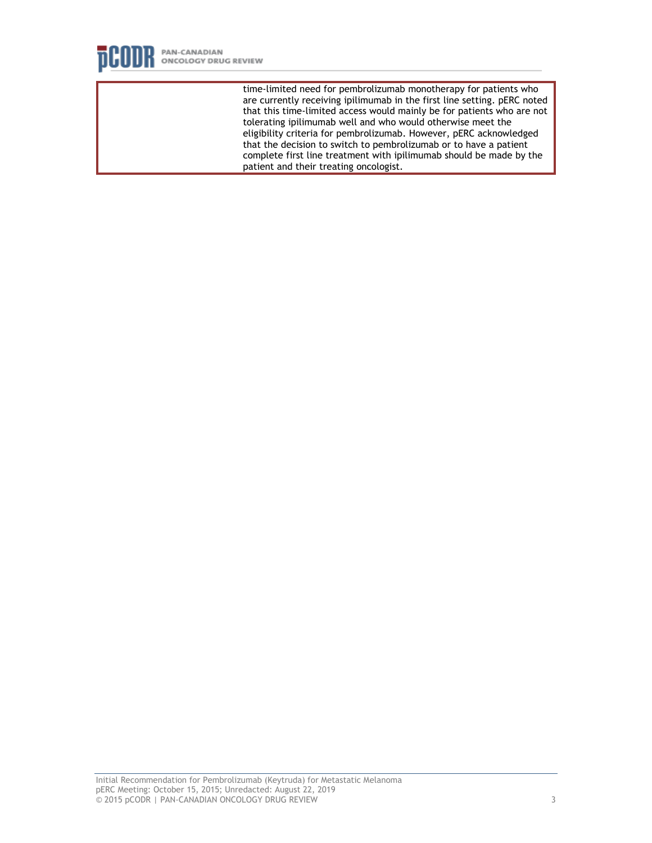

time-limited need for pembrolizumab monotherapy for patients who are currently receiving ipilimumab in the first line setting. pERC noted that this time-limited access would mainly be for patients who are not tolerating ipilimumab well and who would otherwise meet the eligibility criteria for pembrolizumab. However, pERC acknowledged that the decision to switch to pembrolizumab or to have a patient complete first line treatment with ipilimumab should be made by the patient and their treating oncologist.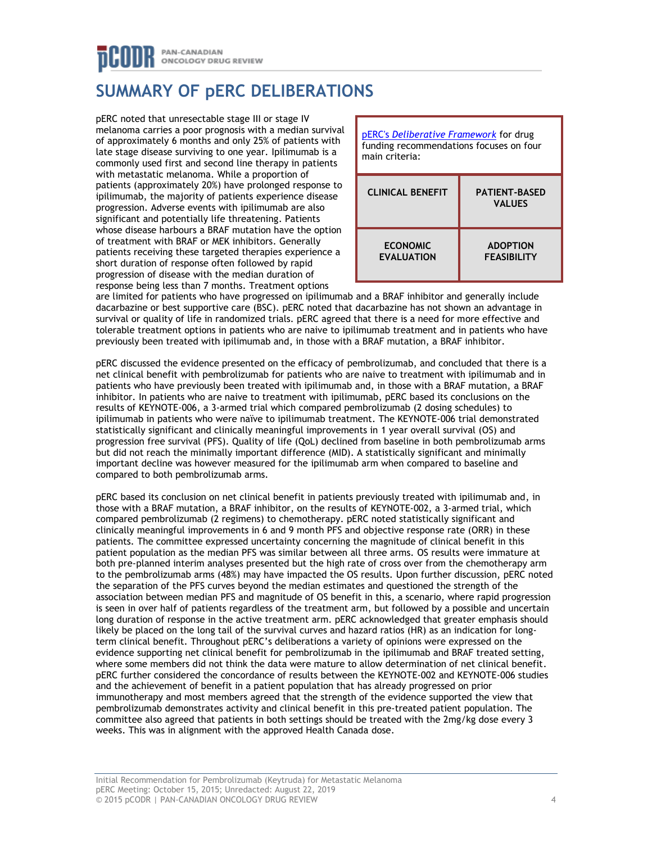## PAN-CANADIAN ONCOLOGY DRUG REVIEW

# **SUMMARY OF pERC DELIBERATIONS**

pERC noted that unresectable stage III or stage IV melanoma carries a poor prognosis with a median survival of approximately 6 months and only 25% of patients with late stage disease surviving to one year. Ipilimumab is a commonly used first and second line therapy in patients with metastatic melanoma. While a proportion of patients (approximately 20%) have prolonged response to ipilimumab, the majority of patients experience disease progression. Adverse events with ipilimumab are also significant and potentially life threatening. Patients whose disease harbours a BRAF mutation have the option of treatment with BRAF or MEK inhibitors. Generally patients receiving these targeted therapies experience a short duration of response often followed by rapid progression of disease with the median duration of response being less than 7 months. Treatment options



are limited for patients who have progressed on ipilimumab and a BRAF inhibitor and generally include dacarbazine or best supportive care (BSC). pERC noted that dacarbazine has not shown an advantage in survival or quality of life in randomized trials. pERC agreed that there is a need for more effective and tolerable treatment options in patients who are naive to ipilimumab treatment and in patients who have previously been treated with ipilimumab and, in those with a BRAF mutation, a BRAF inhibitor.

pERC discussed the evidence presented on the efficacy of pembrolizumab, and concluded that there is a net clinical benefit with pembrolizumab for patients who are naive to treatment with ipilimumab and in patients who have previously been treated with ipilimumab and, in those with a BRAF mutation, a BRAF inhibitor. In patients who are naive to treatment with ipilimumab, pERC based its conclusions on the results of KEYNOTE-006, a 3-armed trial which compared pembrolizumab (2 dosing schedules) to ipilimumab in patients who were naïve to ipilimumab treatment. The KEYNOTE-006 trial demonstrated statistically significant and clinically meaningful improvements in 1 year overall survival (OS) and progression free survival (PFS). Quality of life (QoL) declined from baseline in both pembrolizumab arms but did not reach the minimally important difference (MID). A statistically significant and minimally important decline was however measured for the ipilimumab arm when compared to baseline and compared to both pembrolizumab arms.

pERC based its conclusion on net clinical benefit in patients previously treated with ipilimumab and, in those with a BRAF mutation, a BRAF inhibitor, on the results of KEYNOTE-002, a 3-armed trial, which compared pembrolizumab (2 regimens) to chemotherapy. pERC noted statistically significant and clinically meaningful improvements in 6 and 9 month PFS and objective response rate (ORR) in these patients. The committee expressed uncertainty concerning the magnitude of clinical benefit in this patient population as the median PFS was similar between all three arms. OS results were immature at both pre-planned interim analyses presented but the high rate of cross over from the chemotherapy arm to the pembrolizumab arms (48%) may have impacted the OS results. Upon further discussion, pERC noted the separation of the PFS curves beyond the median estimates and questioned the strength of the association between median PFS and magnitude of OS benefit in this, a scenario, where rapid progression is seen in over half of patients regardless of the treatment arm, but followed by a possible and uncertain long duration of response in the active treatment arm. pERC acknowledged that greater emphasis should likely be placed on the long tail of the survival curves and hazard ratios (HR) as an indication for longterm clinical benefit. Throughout pERC's deliberations a variety of opinions were expressed on the evidence supporting net clinical benefit for pembrolizumab in the ipilimumab and BRAF treated setting, where some members did not think the data were mature to allow determination of net clinical benefit. pERC further considered the concordance of results between the KEYNOTE-002 and KEYNOTE-006 studies and the achievement of benefit in a patient population that has already progressed on prior immunotherapy and most members agreed that the strength of the evidence supported the view that pembrolizumab demonstrates activity and clinical benefit in this pre-treated patient population. The committee also agreed that patients in both settings should be treated with the 2mg/kg dose every 3 weeks. This was in alignment with the approved Health Canada dose.

Initial Recommendation for Pembrolizumab (Keytruda) for Metastatic Melanoma pERC Meeting: October 15, 2015; Unredacted: August 22, 2019 © 2015 pCODR | PAN-CANADIAN ONCOLOGY DRUG REVIEW 4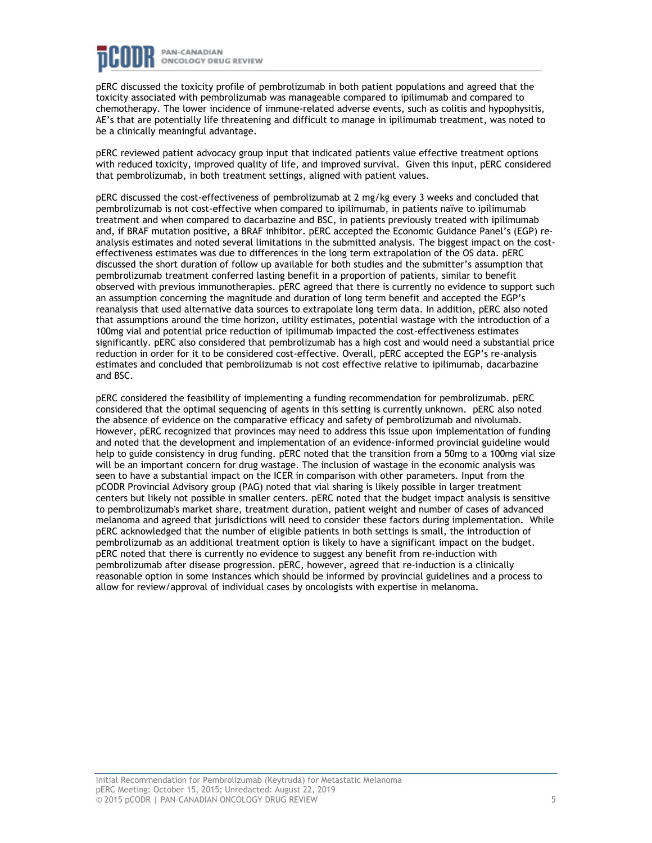

pERC discussed the toxicity profile of pembrolizumab in both patient populations and agreed that the toxicity associated with pembrolizumab was manageable compared to ipilimumab and compared to chemotherapy. The lower incidence of immune-related adverse events, such as colitis and hypophysitis, AE's that are potentially life threatening and difficult to manage in ipilimumab treatment, was noted to be a clinically meaningful advantage.

pERC reviewed patient advocacy group input that indicated patients value effective treatment options with reduced toxicity, improved quality of life, and improved survival. Given this input, pERC considered that pembrolizumab, in both treatment settings, aligned with patient values.

pERC discussed the cost-effectiveness of pembrolizumab at 2 mg/kg every 3 weeks and concluded that pembrolizumab is not cost-effective when compared to ipilimumab, in patients naïve to ipilimumab treatment and when compared to dacarbazine and BSC, in patients previously treated with ipilimumab and, if BRAF mutation positive, a BRAF inhibitor. pERC accepted the Economic Guidance Panel's (EGP) reanalysis estimates and noted several limitations in the submitted analysis. The biggest impact on the costeffectiveness estimates was due to differences in the long term extrapolation of the OS data. pERC discussed the short duration of follow up available for both studies and the submitter's assumption that pembrolizumab treatment conferred lasting benefit in a proportion of patients, similar to benefit observed with previous immunotherapies. pERC agreed that there is currently no evidence to support such an assumption concerning the magnitude and duration of long term benefit and accepted the EGP's reanalysis that used alternative data sources to extrapolate long term data. In addition, pERC also noted that assumptions around the time horizon, utility estimates, potential wastage with the introduction of a 100mg vial and potential price reduction of ipilimumab impacted the cost-effectiveness estimates significantly. pERC also considered that pembrolizumab has a high cost and would need a substantial price reduction in order for it to be considered cost-effective. Overall, pERC accepted the EGP's re-analysis estimates and concluded that pembrolizumab is not cost effective relative to ipilimumab, dacarbazine and BSC.

pERC considered the feasibility of implementing a funding recommendation for pembrolizumab. pERC considered that the optimal sequencing of agents in this setting is currently unknown. pERC also noted the absence of evidence on the comparative efficacy and safety of pembrolizumab and nivolumab. However, pERC recognized that provinces may need to address this issue upon implementation of funding and noted that the development and implementation of an evidence-informed provincial guideline would help to guide consistency in drug funding. pERC noted that the transition from a 50mg to a 100mg vial size will be an important concern for drug wastage. The inclusion of wastage in the economic analysis was seen to have a substantial impact on the ICER in comparison with other parameters. Input from the pCODR Provincial Advisory group (PAG) noted that vial sharing is likely possible in larger treatment centers but likely not possible in smaller centers. pERC noted that the budget impact analysis is sensitive to pembrolizumab's market share, treatment duration, patient weight and number of cases of advanced melanoma and agreed that jurisdictions will need to consider these factors during implementation. While pERC acknowledged that the number of eligible patients in both settings is small, the introduction of pembrolizumab as an additional treatment option is likely to have a significant impact on the budget. pERC noted that there is currently no evidence to suggest any benefit from re-induction with pembrolizumab after disease progression. pERC, however, agreed that re-induction is a clinically reasonable option in some instances which should be informed by provincial guidelines and a process to allow for review/approval of individual cases by oncologists with expertise in melanoma.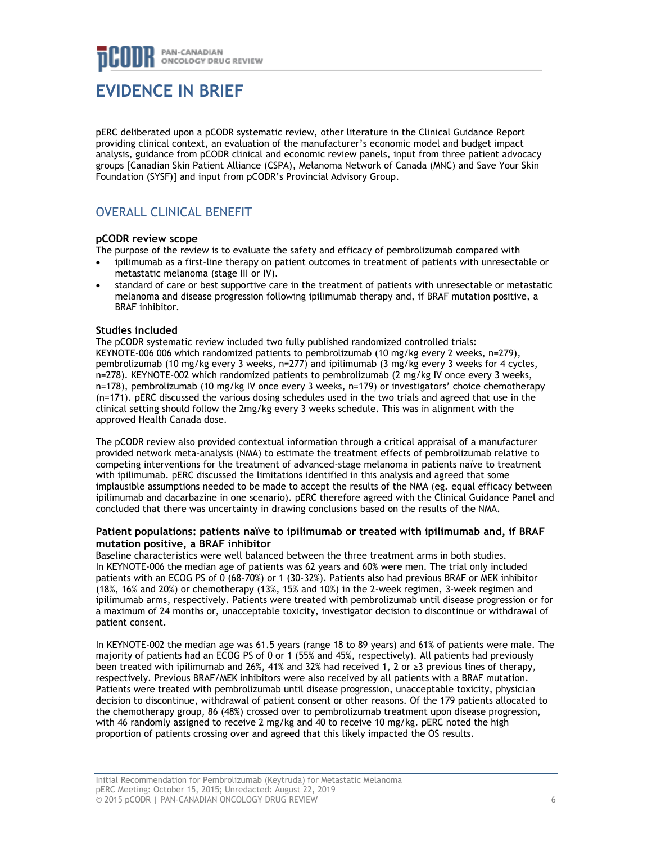# **EVIDENCE IN BRIEF**

pERC deliberated upon a pCODR systematic review, other literature in the Clinical Guidance Report providing clinical context, an evaluation of the manufacturer's economic model and budget impact analysis, guidance from pCODR clinical and economic review panels, input from three patient advocacy groups [Canadian Skin Patient Alliance (CSPA), Melanoma Network of Canada (MNC) and Save Your Skin Foundation (SYSF)] and input from pCODR's Provincial Advisory Group.

## OVERALL CLINICAL BENEFIT

## **pCODR review scope**

The purpose of the review is to evaluate the safety and efficacy of pembrolizumab compared with

- ipilimumab as a first-line therapy on patient outcomes in treatment of patients with unresectable or metastatic melanoma (stage III or IV).
- standard of care or best supportive care in the treatment of patients with unresectable or metastatic melanoma and disease progression following ipilimumab therapy and, if BRAF mutation positive, a BRAF inhibitor.

## **Studies included**

The pCODR systematic review included two fully published randomized controlled trials: KEYNOTE-006 006 which randomized patients to pembrolizumab (10 mg/kg every 2 weeks, n=279), pembrolizumab (10 mg/kg every 3 weeks, n=277) and ipilimumab (3 mg/kg every 3 weeks for 4 cycles, n=278). KEYNOTE-002 which randomized patients to pembrolizumab (2 mg/kg IV once every 3 weeks, n=178), pembrolizumab (10 mg/kg IV once every 3 weeks, n=179) or investigators' choice chemotherapy (n=171). pERC discussed the various dosing schedules used in the two trials and agreed that use in the clinical setting should follow the 2mg/kg every 3 weeks schedule. This was in alignment with the approved Health Canada dose.

The pCODR review also provided contextual information through a critical appraisal of a manufacturer provided network meta-analysis (NMA) to estimate the treatment effects of pembrolizumab relative to competing interventions for the treatment of advanced-stage melanoma in patients naïve to treatment with ipilimumab. pERC discussed the limitations identified in this analysis and agreed that some implausible assumptions needed to be made to accept the results of the NMA (eg. equal efficacy between ipilimumab and dacarbazine in one scenario). pERC therefore agreed with the Clinical Guidance Panel and concluded that there was uncertainty in drawing conclusions based on the results of the NMA.

## **Patient populations: patients naïve to ipilimumab or treated with ipilimumab and, if BRAF mutation positive, a BRAF inhibitor**

Baseline characteristics were well balanced between the three treatment arms in both studies. In KEYNOTE-006 the median age of patients was 62 years and 60% were men. The trial only included patients with an ECOG PS of 0 (68-70%) or 1 (30-32%). Patients also had previous BRAF or MEK inhibitor (18%, 16% and 20%) or chemotherapy (13%, 15% and 10%) in the 2-week regimen, 3-week regimen and ipilimumab arms, respectively. Patients were treated with pembrolizumab until disease progression or for a maximum of 24 months or, unacceptable toxicity, investigator decision to discontinue or withdrawal of patient consent.

In KEYNOTE-002 the median age was 61.5 years (range 18 to 89 years) and 61% of patients were male. The majority of patients had an ECOG PS of 0 or 1 (55% and 45%, respectively). All patients had previously been treated with ipilimumab and 26%, 41% and 32% had received 1, 2 or ≥3 previous lines of therapy, respectively. Previous BRAF/MEK inhibitors were also received by all patients with a BRAF mutation. Patients were treated with pembrolizumab until disease progression, unacceptable toxicity, physician decision to discontinue, withdrawal of patient consent or other reasons. Of the 179 patients allocated to the chemotherapy group, 86 (48%) crossed over to pembrolizumab treatment upon disease progression, with 46 randomly assigned to receive 2 mg/kg and 40 to receive 10 mg/kg. pERC noted the high proportion of patients crossing over and agreed that this likely impacted the OS results.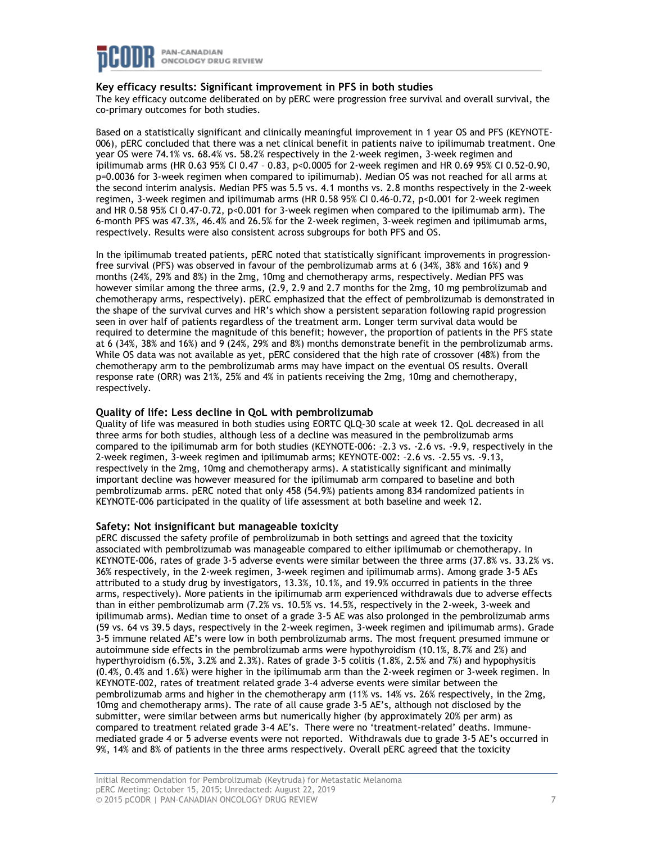

## **Key efficacy results: Significant improvement in PFS in both studies**

The key efficacy outcome deliberated on by pERC were progression free survival and overall survival, the co-primary outcomes for both studies.

Based on a statistically significant and clinically meaningful improvement in 1 year OS and PFS (KEYNOTE-006), pERC concluded that there was a net clinical benefit in patients naive to ipilimumab treatment. One year OS were 74.1% vs. 68.4% vs. 58.2% respectively in the 2-week regimen, 3-week regimen and ipilimumab arms (HR 0.63 95% CI 0.47 – 0.83, p<0.0005 for 2-week regimen and HR 0.69 95% CI 0.52-0.90, p=0.0036 for 3-week regimen when compared to ipilimumab). Median OS was not reached for all arms at the second interim analysis. Median PFS was 5.5 vs. 4.1 months vs. 2.8 months respectively in the 2-week regimen, 3-week regimen and ipilimumab arms (HR 0.58 95% CI 0.46-0.72, p<0.001 for 2-week regimen and HR 0.58 95% CI 0.47-0.72,  $p<0.001$  for 3-week regimen when compared to the ipilimumab arm). The 6-month PFS was 47.3%, 46.4% and 26.5% for the 2-week regimen, 3-week regimen and ipilimumab arms, respectively. Results were also consistent across subgroups for both PFS and OS.

In the ipilimumab treated patients, pERC noted that statistically significant improvements in progressionfree survival (PFS) was observed in favour of the pembrolizumab arms at 6 (34%, 38% and 16%) and 9 months (24%, 29% and 8%) in the 2mg, 10mg and chemotherapy arms, respectively. Median PFS was however similar among the three arms, (2.9, 2.9 and 2.7 months for the 2mg, 10 mg pembrolizumab and chemotherapy arms, respectively). pERC emphasized that the effect of pembrolizumab is demonstrated in the shape of the survival curves and HR's which show a persistent separation following rapid progression seen in over half of patients regardless of the treatment arm. Longer term survival data would be required to determine the magnitude of this benefit; however, the proportion of patients in the PFS state at 6 (34%, 38% and 16%) and 9 (24%, 29% and 8%) months demonstrate benefit in the pembrolizumab arms. While OS data was not available as yet, pERC considered that the high rate of crossover (48%) from the chemotherapy arm to the pembrolizumab arms may have impact on the eventual OS results. Overall response rate (ORR) was 21%, 25% and 4% in patients receiving the 2mg, 10mg and chemotherapy, respectively.

## **Quality of life: Less decline in QoL with pembrolizumab**

Quality of life was measured in both studies using EORTC QLQ-30 scale at week 12. QoL decreased in all three arms for both studies, although less of a decline was measured in the pembrolizumab arms compared to the ipilimumab arm for both studies (KEYNOTE-006: –2.3 vs. -2.6 vs. -9.9, respectively in the 2-week regimen, 3-week regimen and ipilimumab arms; KEYNOTE-002: –2.6 vs. -2.55 vs. -9.13, respectively in the 2mg, 10mg and chemotherapy arms). A statistically significant and minimally important decline was however measured for the ipilimumab arm compared to baseline and both pembrolizumab arms. pERC noted that only 458 (54.9%) patients among 834 randomized patients in KEYNOTE-006 participated in the quality of life assessment at both baseline and week 12.

## **Safety: Not insignificant but manageable toxicity**

pERC discussed the safety profile of pembrolizumab in both settings and agreed that the toxicity associated with pembrolizumab was manageable compared to either ipilimumab or chemotherapy. In KEYNOTE-006, rates of grade 3-5 adverse events were similar between the three arms (37.8% vs. 33.2% vs. 36% respectively, in the 2-week regimen, 3-week regimen and ipilimumab arms). Among grade 3-5 AEs attributed to a study drug by investigators, 13.3%, 10.1%, and 19.9% occurred in patients in the three arms, respectively). More patients in the ipilimumab arm experienced withdrawals due to adverse effects than in either pembrolizumab arm (7.2% vs. 10.5% vs. 14.5%, respectively in the 2-week, 3-week and ipilimumab arms). Median time to onset of a grade 3-5 AE was also prolonged in the pembrolizumab arms (59 vs. 64 vs 39.5 days, respectively in the 2-week regimen, 3-week regimen and ipilimumab arms). Grade 3-5 immune related AE's were low in both pembrolizumab arms. The most frequent presumed immune or autoimmune side effects in the pembrolizumab arms were hypothyroidism (10.1%, 8.7% and 2%) and hyperthyroidism (6.5%, 3.2% and 2.3%). Rates of grade 3-5 colitis (1.8%, 2.5% and 7%) and hypophysitis (0.4%, 0.4% and 1.6%) were higher in the ipilimumab arm than the 2-week regimen or 3-week regimen. In KEYNOTE-002, rates of treatment related grade 3-4 adverse events were similar between the pembrolizumab arms and higher in the chemotherapy arm (11% vs. 14% vs. 26% respectively, in the 2mg, 10mg and chemotherapy arms). The rate of all cause grade 3-5 AE's, although not disclosed by the submitter, were similar between arms but numerically higher (by approximately 20% per arm) as compared to treatment related grade 3-4 AE's. There were no 'treatment-related' deaths. Immunemediated grade 4 or 5 adverse events were not reported. Withdrawals due to grade 3-5 AE's occurred in 9%, 14% and 8% of patients in the three arms respectively. Overall pERC agreed that the toxicity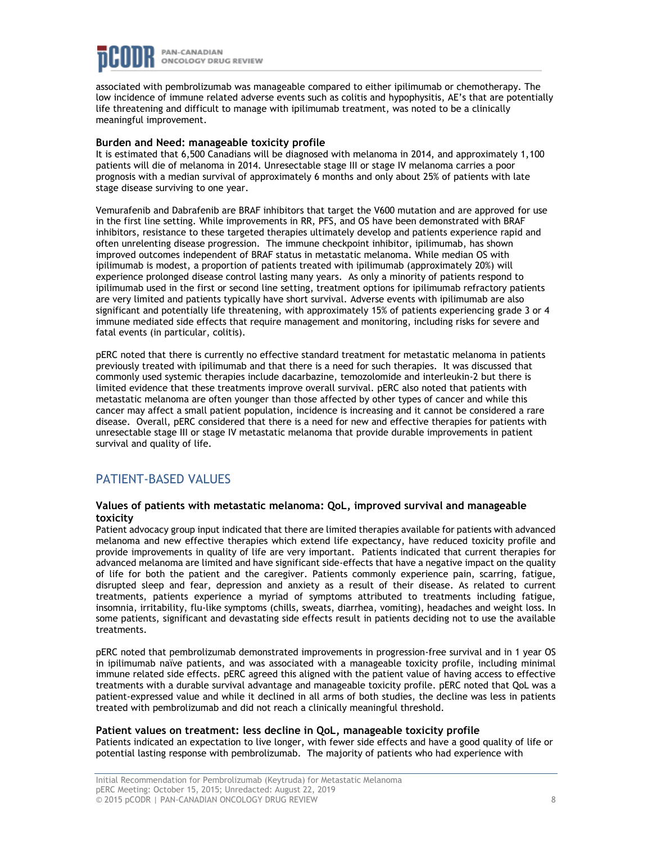

associated with pembrolizumab was manageable compared to either ipilimumab or chemotherapy. The low incidence of immune related adverse events such as colitis and hypophysitis, AE's that are potentially life threatening and difficult to manage with ipilimumab treatment, was noted to be a clinically meaningful improvement.

## **Burden and Need: manageable toxicity profile**

It is estimated that 6,500 Canadians will be diagnosed with melanoma in 2014, and approximately 1,100 patients will die of melanoma in 2014. Unresectable stage III or stage IV melanoma carries a poor prognosis with a median survival of approximately 6 months and only about 25% of patients with late stage disease surviving to one year.

Vemurafenib and Dabrafenib are BRAF inhibitors that target the V600 mutation and are approved for use in the first line setting. While improvements in RR, PFS, and OS have been demonstrated with BRAF inhibitors, resistance to these targeted therapies ultimately develop and patients experience rapid and often unrelenting disease progression. The immune checkpoint inhibitor, ipilimumab, has shown improved outcomes independent of BRAF status in metastatic melanoma. While median OS with ipilimumab is modest, a proportion of patients treated with ipilimumab (approximately 20%) will experience prolonged disease control lasting many years. As only a minority of patients respond to ipilimumab used in the first or second line setting, treatment options for ipilimumab refractory patients are very limited and patients typically have short survival. Adverse events with ipilimumab are also significant and potentially life threatening, with approximately 15% of patients experiencing grade 3 or 4 immune mediated side effects that require management and monitoring, including risks for severe and fatal events (in particular, colitis).

pERC noted that there is currently no effective standard treatment for metastatic melanoma in patients previously treated with ipilimumab and that there is a need for such therapies. It was discussed that commonly used systemic therapies include dacarbazine, temozolomide and interleukin-2 but there is limited evidence that these treatments improve overall survival. pERC also noted that patients with metastatic melanoma are often younger than those affected by other types of cancer and while this cancer may affect a small patient population, incidence is increasing and it cannot be considered a rare disease. Overall, pERC considered that there is a need for new and effective therapies for patients with unresectable stage III or stage IV metastatic melanoma that provide durable improvements in patient survival and quality of life.

## PATIENT-BASED VALUES

## **Values of patients with metastatic melanoma: QoL, improved survival and manageable toxicity**

Patient advocacy group input indicated that there are limited therapies available for patients with advanced melanoma and new effective therapies which extend life expectancy, have reduced toxicity profile and provide improvements in quality of life are very important. Patients indicated that current therapies for advanced melanoma are limited and have significant side-effects that have a negative impact on the quality of life for both the patient and the caregiver. Patients commonly experience pain, scarring, fatigue, disrupted sleep and fear, depression and anxiety as a result of their disease. As related to current treatments, patients experience a myriad of symptoms attributed to treatments including fatigue, insomnia, irritability, flu-like symptoms (chills, sweats, diarrhea, vomiting), headaches and weight loss. In some patients, significant and devastating side effects result in patients deciding not to use the available treatments.

pERC noted that pembrolizumab demonstrated improvements in progression-free survival and in 1 year OS in ipilimumab naïve patients, and was associated with a manageable toxicity profile, including minimal immune related side effects. pERC agreed this aligned with the patient value of having access to effective treatments with a durable survival advantage and manageable toxicity profile. pERC noted that QoL was a patient-expressed value and while it declined in all arms of both studies, the decline was less in patients treated with pembrolizumab and did not reach a clinically meaningful threshold.

## **Patient values on treatment: less decline in QoL, manageable toxicity profile**

Patients indicated an expectation to live longer, with fewer side effects and have a good quality of life or potential lasting response with pembrolizumab. The majority of patients who had experience with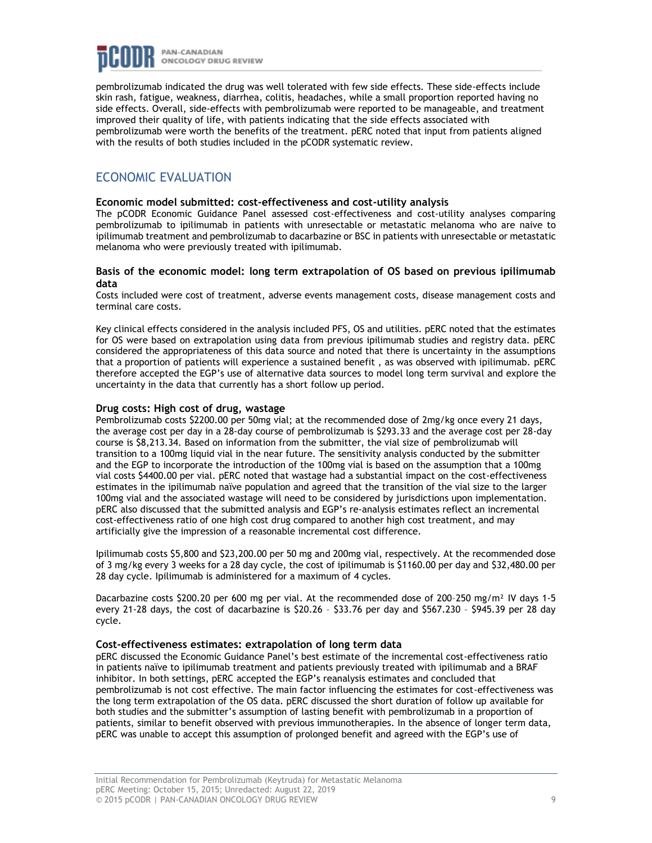

pembrolizumab indicated the drug was well tolerated with few side effects. These side-effects include skin rash, fatigue, weakness, diarrhea, colitis, headaches, while a small proportion reported having no side effects. Overall, side-effects with pembrolizumab were reported to be manageable, and treatment improved their quality of life, with patients indicating that the side effects associated with pembrolizumab were worth the benefits of the treatment. pERC noted that input from patients aligned with the results of both studies included in the pCODR systematic review.

## ECONOMIC EVALUATION

#### **Economic model submitted: cost-effectiveness and cost-utility analysis**

The pCODR Economic Guidance Panel assessed cost-effectiveness and cost-utility analyses comparing pembrolizumab to ipilimumab in patients with unresectable or metastatic melanoma who are naive to ipilimumab treatment and pembrolizumab to dacarbazine or BSC in patients with unresectable or metastatic melanoma who were previously treated with ipilimumab.

## **Basis of the economic model: long term extrapolation of OS based on previous ipilimumab data**

Costs included were cost of treatment, adverse events management costs, disease management costs and terminal care costs.

Key clinical effects considered in the analysis included PFS, OS and utilities. pERC noted that the estimates for OS were based on extrapolation using data from previous ipilimumab studies and registry data. pERC considered the appropriateness of this data source and noted that there is uncertainty in the assumptions that a proportion of patients will experience a sustained benefit , as was observed with ipilimumab. pERC therefore accepted the EGP's use of alternative data sources to model long term survival and explore the uncertainty in the data that currently has a short follow up period.

## **Drug costs: High cost of drug, wastage**

Pembrolizumab costs \$2200.00 per 50mg vial; at the recommended dose of 2mg/kg once every 21 days, the average cost per day in a 28-day course of pembrolizumab is \$293.33 and the average cost per 28-day course is \$8,213.34. Based on information from the submitter, the vial size of pembrolizumab will transition to a 100mg liquid vial in the near future. The sensitivity analysis conducted by the submitter and the EGP to incorporate the introduction of the 100mg vial is based on the assumption that a 100mg vial costs \$4400.00 per vial. pERC noted that wastage had a substantial impact on the cost-effectiveness estimates in the ipilimumab naïve population and agreed that the transition of the vial size to the larger 100mg vial and the associated wastage will need to be considered by jurisdictions upon implementation. pERC also discussed that the submitted analysis and EGP's re-analysis estimates reflect an incremental cost-effectiveness ratio of one high cost drug compared to another high cost treatment, and may artificially give the impression of a reasonable incremental cost difference.

Ipilimumab costs \$5,800 and \$23,200.00 per 50 mg and 200mg vial, respectively. At the recommended dose of 3 mg/kg every 3 weeks for a 28 day cycle, the cost of ipilimumab is \$1160.00 per day and \$32,480.00 per 28 day cycle. Ipilimumab is administered for a maximum of 4 cycles.

Dacarbazine costs \$200.20 per 600 mg per vial. At the recommended dose of 200-250 mg/m<sup>2</sup> IV days 1-5 every 21-28 days, the cost of dacarbazine is \$20.26 – \$33.76 per day and \$567.230 – \$945.39 per 28 day cycle.

## **Cost-effectiveness estimates: extrapolation of long term data**

pERC discussed the Economic Guidance Panel's best estimate of the incremental cost-effectiveness ratio in patients naïve to ipilimumab treatment and patients previously treated with ipilimumab and a BRAF inhibitor. In both settings, pERC accepted the EGP's reanalysis estimates and concluded that pembrolizumab is not cost effective. The main factor influencing the estimates for cost-effectiveness was the long term extrapolation of the OS data. pERC discussed the short duration of follow up available for both studies and the submitter's assumption of lasting benefit with pembrolizumab in a proportion of patients, similar to benefit observed with previous immunotherapies. In the absence of longer term data, pERC was unable to accept this assumption of prolonged benefit and agreed with the EGP's use of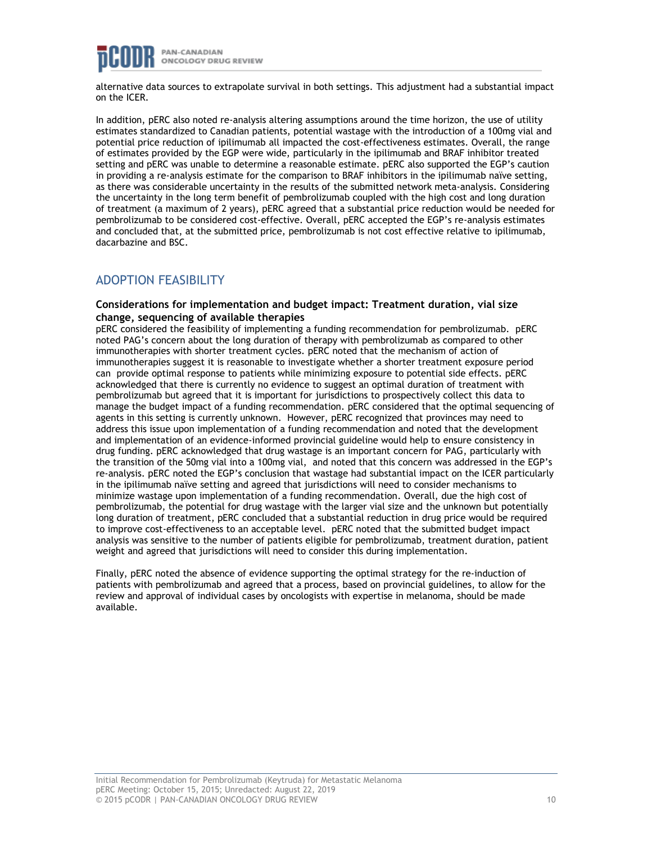

alternative data sources to extrapolate survival in both settings. This adjustment had a substantial impact on the ICER.

In addition, pERC also noted re-analysis altering assumptions around the time horizon, the use of utility estimates standardized to Canadian patients, potential wastage with the introduction of a 100mg vial and potential price reduction of ipilimumab all impacted the cost-effectiveness estimates. Overall, the range of estimates provided by the EGP were wide, particularly in the ipilimumab and BRAF inhibitor treated setting and pERC was unable to determine a reasonable estimate. pERC also supported the EGP's caution in providing a re-analysis estimate for the comparison to BRAF inhibitors in the ipilimumab naïve setting, as there was considerable uncertainty in the results of the submitted network meta-analysis. Considering the uncertainty in the long term benefit of pembrolizumab coupled with the high cost and long duration of treatment (a maximum of 2 years), pERC agreed that a substantial price reduction would be needed for pembrolizumab to be considered cost-effective. Overall, pERC accepted the EGP's re-analysis estimates and concluded that, at the submitted price, pembrolizumab is not cost effective relative to ipilimumab, dacarbazine and BSC.

## ADOPTION FEASIBILITY

## **Considerations for implementation and budget impact: Treatment duration, vial size change, sequencing of available therapies**

pERC considered the feasibility of implementing a funding recommendation for pembrolizumab. pERC noted PAG's concern about the long duration of therapy with pembrolizumab as compared to other immunotherapies with shorter treatment cycles. pERC noted that the mechanism of action of immunotherapies suggest it is reasonable to investigate whether a shorter treatment exposure period can provide optimal response to patients while minimizing exposure to potential side effects. pERC acknowledged that there is currently no evidence to suggest an optimal duration of treatment with pembrolizumab but agreed that it is important for jurisdictions to prospectively collect this data to manage the budget impact of a funding recommendation. pERC considered that the optimal sequencing of agents in this setting is currently unknown. However, pERC recognized that provinces may need to address this issue upon implementation of a funding recommendation and noted that the development and implementation of an evidence-informed provincial guideline would help to ensure consistency in drug funding. pERC acknowledged that drug wastage is an important concern for PAG, particularly with the transition of the 50mg vial into a 100mg vial, and noted that this concern was addressed in the EGP's re-analysis. pERC noted the EGP's conclusion that wastage had substantial impact on the ICER particularly in the ipilimumab naïve setting and agreed that jurisdictions will need to consider mechanisms to minimize wastage upon implementation of a funding recommendation. Overall, due the high cost of pembrolizumab, the potential for drug wastage with the larger vial size and the unknown but potentially long duration of treatment, pERC concluded that a substantial reduction in drug price would be required to improve cost-effectiveness to an acceptable level. pERC noted that the submitted budget impact analysis was sensitive to the number of patients eligible for pembrolizumab, treatment duration, patient weight and agreed that jurisdictions will need to consider this during implementation.

Finally, pERC noted the absence of evidence supporting the optimal strategy for the re-induction of patients with pembrolizumab and agreed that a process, based on provincial guidelines, to allow for the review and approval of individual cases by oncologists with expertise in melanoma, should be made available.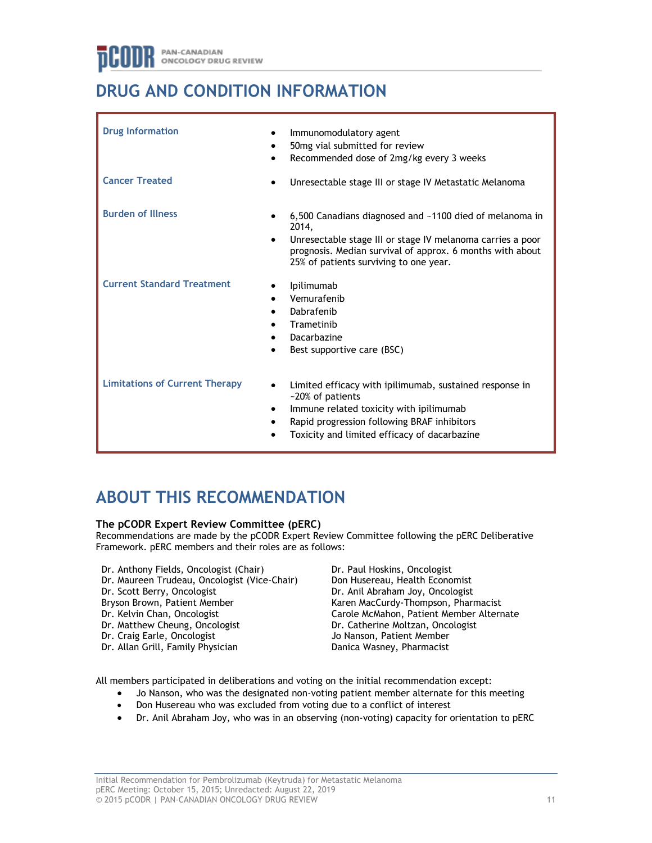# **DRUG AND CONDITION INFORMATION**

| <b>Drug Information</b><br><b>Cancer Treated</b> | Immunomodulatory agent<br>$\bullet$<br>50mg vial submitted for review<br>Recommended dose of 2mg/kg every 3 weeks<br>Unresectable stage III or stage IV Metastatic Melanoma                                                                        |
|--------------------------------------------------|----------------------------------------------------------------------------------------------------------------------------------------------------------------------------------------------------------------------------------------------------|
| <b>Burden of Illness</b>                         | 6,500 Canadians diagnosed and ~1100 died of melanoma in<br>2014,<br>Unresectable stage III or stage IV melanoma carries a poor<br>$\bullet$<br>prognosis. Median survival of approx. 6 months with about<br>25% of patients surviving to one year. |
| <b>Current Standard Treatment</b>                | Ipilimumab<br>Vemurafenib<br>$\bullet$<br>Dabrafenib<br>Trametinib<br>Dacarbazine<br>Best supportive care (BSC)                                                                                                                                    |
| <b>Limitations of Current Therapy</b>            | Limited efficacy with ipilimumab, sustained response in<br>$\bullet$<br>~20% of patients<br>Immune related toxicity with ipilimumab<br>$\bullet$<br>Rapid progression following BRAF inhibitors<br>Toxicity and limited efficacy of dacarbazine    |

# **ABOUT THIS RECOMMENDATION**

## **The pCODR Expert Review Committee (pERC)**

Recommendations are made by the pCODR Expert Review Committee following the pERC Deliberative Framework. pERC members and their roles are as follows:

- Dr. Anthony Fields, Oncologist (Chair) Dr. Maureen Trudeau, Oncologist (Vice-Chair)
- Dr. Scott Berry, Oncologist
- Bryson Brown, Patient Member
- Dr. Kelvin Chan, Oncologist
- Dr. Matthew Cheung, Oncologist
- Dr. Craig Earle, Oncologist
- Dr. Allan Grill, Family Physician

Dr. Paul Hoskins, Oncologist Don Husereau, Health Economist Dr. Anil Abraham Joy, Oncologist Karen MacCurdy-Thompson, Pharmacist Carole McMahon, Patient Member Alternate Dr. Catherine Moltzan, Oncologist Jo Nanson, Patient Member Danica Wasney, Pharmacist

All members participated in deliberations and voting on the initial recommendation except:

- Jo Nanson, who was the designated non-voting patient member alternate for this meeting
- Don Husereau who was excluded from voting due to a conflict of interest
- Dr. Anil Abraham Joy, who was in an observing (non-voting) capacity for orientation to pERC

Initial Recommendation for Pembrolizumab (Keytruda) for Metastatic Melanoma pERC Meeting: October 15, 2015; Unredacted: August 22, 2019 © 2015 pCODR | PAN-CANADIAN ONCOLOGY DRUG REVIEW 11